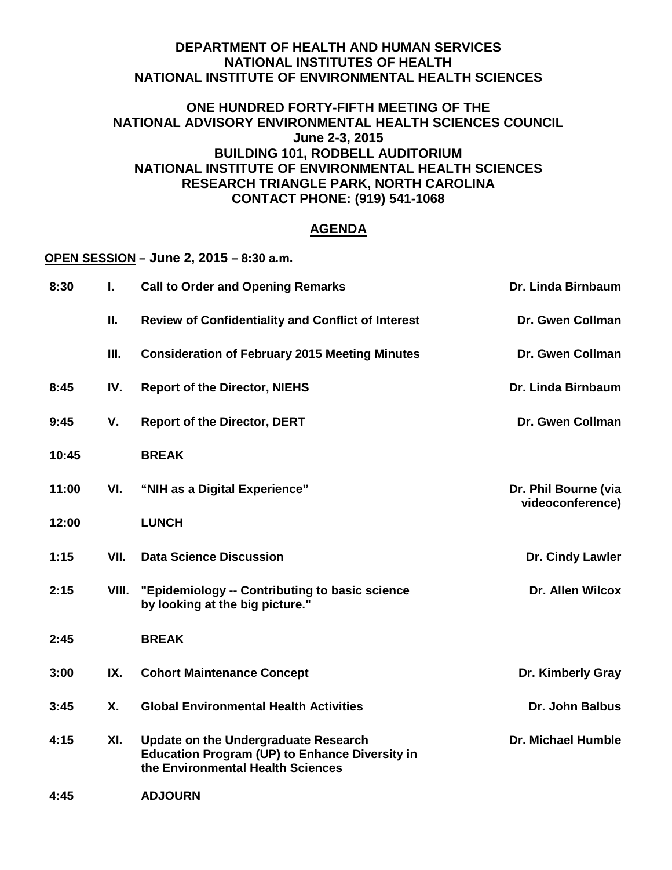## **DEPARTMENT OF HEALTH AND HUMAN SERVICES NATIONAL INSTITUTES OF HEALTH NATIONAL INSTITUTE OF ENVIRONMENTAL HEALTH SCIENCES**

# **ONE HUNDRED FORTY-FIFTH MEETING OF THE NATIONAL ADVISORY ENVIRONMENTAL HEALTH SCIENCES COUNCIL June 2-3, 2015 BUILDING 101, RODBELL AUDITORIUM NATIONAL INSTITUTE OF ENVIRONMENTAL HEALTH SCIENCES RESEARCH TRIANGLE PARK, NORTH CAROLINA CONTACT PHONE: (919) 541-1068**

# **AGENDA**

### **OPEN SESSION – June 2, 2015 – 8:30 a.m.**

| 8:30  | L.    | <b>Call to Order and Opening Remarks</b>                                                                                                  | Dr. Linda Birnbaum                       |
|-------|-------|-------------------------------------------------------------------------------------------------------------------------------------------|------------------------------------------|
|       | Ш.    | <b>Review of Confidentiality and Conflict of Interest</b>                                                                                 | Dr. Gwen Collman                         |
|       | Ш.    | <b>Consideration of February 2015 Meeting Minutes</b>                                                                                     | Dr. Gwen Collman                         |
| 8:45  | IV.   | <b>Report of the Director, NIEHS</b>                                                                                                      | Dr. Linda Birnbaum                       |
| 9:45  | V.    | <b>Report of the Director, DERT</b>                                                                                                       | Dr. Gwen Collman                         |
| 10:45 |       | <b>BREAK</b>                                                                                                                              |                                          |
| 11:00 | VI.   | "NIH as a Digital Experience"                                                                                                             | Dr. Phil Bourne (via<br>videoconference) |
| 12:00 |       | <b>LUNCH</b>                                                                                                                              |                                          |
| 1:15  | VII.  | <b>Data Science Discussion</b>                                                                                                            | Dr. Cindy Lawler                         |
| 2:15  | VIII. | "Epidemiology -- Contributing to basic science<br>by looking at the big picture."                                                         | <b>Dr. Allen Wilcox</b>                  |
| 2:45  |       | <b>BREAK</b>                                                                                                                              |                                          |
| 3:00  | IX.   | <b>Cohort Maintenance Concept</b>                                                                                                         | Dr. Kimberly Gray                        |
| 3:45  | Χ.    | <b>Global Environmental Health Activities</b>                                                                                             | Dr. John Balbus                          |
| 4:15  | XI.   | <b>Update on the Undergraduate Research</b><br><b>Education Program (UP) to Enhance Diversity in</b><br>the Environmental Health Sciences | Dr. Michael Humble                       |
| 4:45  |       | <b>ADJOURN</b>                                                                                                                            |                                          |